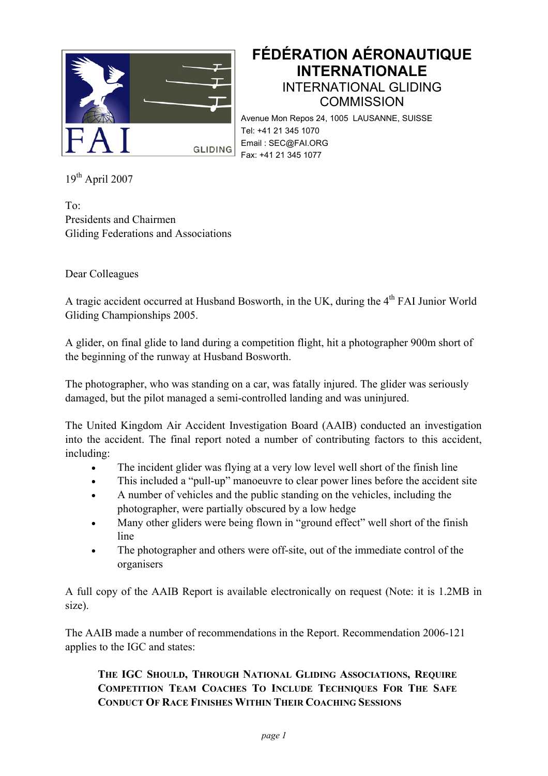

## **FÉDÉRATION AÉRONAUTIQUE INTERNATIONALE**  INTERNATIONAL GLIDING **COMMISSION**

Avenue Mon Repos 24, 1005 LAUSANNE, SUISSE Tel: +41 21 345 1070 Email : SEC@FAI.ORG Fax: +41 21 345 1077

 $19^{th}$  April 2007

To: Presidents and Chairmen Gliding Federations and Associations

Dear Colleagues

A tragic accident occurred at Husband Bosworth, in the UK, during the 4<sup>th</sup> FAI Junior World Gliding Championships 2005.

A glider, on final glide to land during a competition flight, hit a photographer 900m short of the beginning of the runway at Husband Bosworth.

The photographer, who was standing on a car, was fatally injured. The glider was seriously damaged, but the pilot managed a semi-controlled landing and was uninjured.

The United Kingdom Air Accident Investigation Board (AAIB) conducted an investigation into the accident. The final report noted a number of contributing factors to this accident, including:

- The incident glider was flying at a very low level well short of the finish line
- This included a "pull-up" manoeuvre to clear power lines before the accident site
- A number of vehicles and the public standing on the vehicles, including the photographer, were partially obscured by a low hedge
- Many other gliders were being flown in "ground effect" well short of the finish line
- The photographer and others were off-site, out of the immediate control of the organisers

A full copy of the AAIB Report is available electronically on request (Note: it is 1.2MB in size).

The AAIB made a number of recommendations in the Report. Recommendation 2006-121 applies to the IGC and states:

## **THE IGC SHOULD, THROUGH NATIONAL GLIDING ASSOCIATIONS, REQUIRE COMPETITION TEAM COACHES TO INCLUDE TECHNIQUES FOR THE SAFE CONDUCT OF RACE FINISHES WITHIN THEIR COACHING SESSIONS**